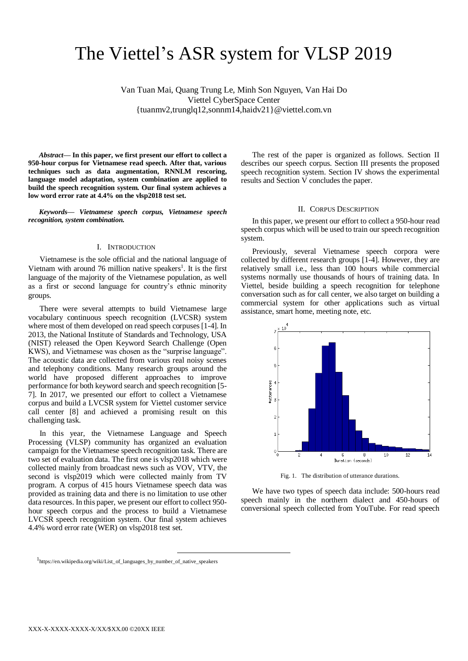# The Viettel's ASR system for VLSP 2019

Van Tuan Mai, Quang Trung Le, Minh Son Nguyen, Van Hai Do Viettel CyberSpace Center {tuanmv2,trunglq12,sonnm14,haidv21}@viettel.com.vn

*Abstract***— In this paper, we first present our effort to collect a 950-hour corpus for Vietnamese read speech. After that, various techniques such as data augmentation, RNNLM rescoring, language model adaptation, system combination are applied to build the speech recognition system. Our final system achieves a low word error rate at 4.4% on the vlsp2018 test set.**

*Keywords— Vietnamese speech corpus, Vietnamese speech recognition, system combination.*

## I. INTRODUCTION

Vietnamese is the sole official and the national language of Vietnam with around  $76$  million native speakers<sup>1</sup>. It is the first language of the majority of the Vietnamese population, as well as a first or second language for country's ethnic minority groups.

There were several attempts to build Vietnamese large vocabulary continuous speech recognition (LVCSR) system where most of them developed on read speech corpuses [1-4]. In 2013, the National Institute of Standards and Technology, USA (NIST) released the Open Keyword Search Challenge (Open KWS), and Vietnamese was chosen as the "surprise language". The acoustic data are collected from various real noisy scenes and telephony conditions. Many research groups around the world have proposed different approaches to improve performance for both keyword search and speech recognition [5- 7]. In 2017, we presented our effort to collect a Vietnamese corpus and build a LVCSR system for Viettel customer service call center [8] and achieved a promising result on this challenging task.

In this year, the Vietnamese Language and Speech Processing (VLSP) community has organized an evaluation campaign for the Vietnamese speech recognition task. There are two set of evaluation data. The first one is vlsp2018 which were collected mainly from broadcast news such as VOV, VTV, the second is vlsp2019 which were collected mainly from TV program. A corpus of 415 hours Vietnamese speech data was provided as training data and there is no limitation to use other data resources. In this paper, we present our effort to collect 950 hour speech corpus and the process to build a Vietnamese LVCSR speech recognition system. Our final system achieves 4.4% word error rate (WER) on vlsp2018 test set.

The rest of the paper is organized as follows. Section II describes our speech corpus. Section III presents the proposed speech recognition system. Section IV shows the experimental results and Section V concludes the paper.

## II. CORPUS DESCRIPTION

In this paper, we present our effort to collect a 950-hour read speech corpus which will be used to train our speech recognition system.

Previously, several Vietnamese speech corpora were collected by different research groups [1-4]. However, they are relatively small i.e., less than 100 hours while commercial systems normally use thousands of hours of training data. In Viettel, beside building a speech recognition for telephone conversation such as for call center, we also target on building a commercial system for other applications such as virtual assistance, smart home, meeting note, etc.



Fig. 1. The distribution of utterance durations.

We have two types of speech data include: 500-hours read speech mainly in the northern dialect and 450-hours of conversional speech collected from YouTube. For read speech

-

<sup>1</sup> https://en.wikipedia.org/wiki/List\_of\_languages\_by\_number\_of\_native\_speakers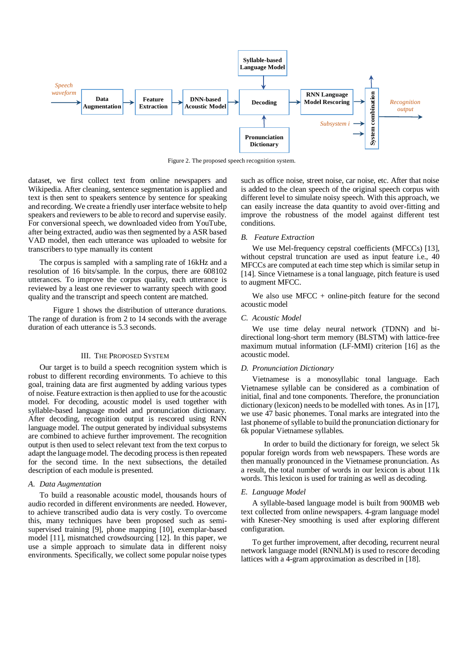

Figure 2. The proposed speech recognition system.

dataset, we first collect text from online newspapers and Wikipedia. After cleaning, sentence segmentation is applied and text is then sent to speakers sentence by sentence for speaking and recording. We create a friendly user interface website to help speakers and reviewers to be able to record and supervise easily. For conversional speech, we downloaded video from YouTube, after being extracted, audio wasthen segmented by a ASR based VAD model, then each utterance was uploaded to website for transcribers to type manually its content

The corpus is sampled with a sampling rate of 16kHz and a resolution of 16 bits/sample. In the corpus, there are 608102 utterances. To improve the corpus quality, each utterance is reviewed by a least one reviewer to warranty speech with good quality and the transcript and speech content are matched.

 Figure 1 shows the distribution of utterance durations. The range of duration is from 2 to 14 seconds with the average duration of each utterance is 5.3 seconds.

# III. THE PROPOSED SYSTEM

Our target is to build a speech recognition system which is robust to different recording environments. To achieve to this goal, training data are first augmented by adding various types of noise. Feature extraction is then applied to use for the acoustic model. For decoding, acoustic model is used together with syllable-based language model and pronunciation dictionary. After decoding, recognition output is rescored using RNN language model. The output generated by individual subsystems are combined to achieve further improvement. The recognition output is then used to select relevant text from the text corpus to adapt the language model. The decoding process is then repeated for the second time. In the next subsections, the detailed description of each module is presented.

# *A. Data Augmentation*

To build a reasonable acoustic model, thousands hours of audio recorded in different environments are needed. However, to achieve transcribed audio data is very costly. To overcome this, many techniques have been proposed such as semisupervised training [9], phone mapping [10], exemplar-based model [11], mismatched crowdsourcing [12]. In this paper, we use a simple approach to simulate data in different noisy environments. Specifically, we collect some popular noise types

such as office noise, street noise, car noise, etc. After that noise is added to the clean speech of the original speech corpus with different level to simulate noisy speech. With this approach, we can easily increase the data quantity to avoid over-fitting and improve the robustness of the model against different test conditions.

## *B. Feature Extraction*

We use Mel-frequency cepstral coefficients (MFCCs) [13], without cepstral truncation are used as input feature i.e., 40 MFCCs are computed at each time step which is similar setup in [14]. Since Vietnamese is a tonal language, pitch feature is used to augment MFCC.

We also use  $MFCC + online-pitch$  feature for the second acoustic model

### *C. Acoustic Model*

We use time delay neural network (TDNN) and bidirectional long-short term memory (BLSTM) with lattice-free maximum mutual information (LF-MMI) criterion [16] as the acoustic model.

# *D. Pronunciation Dictionary*

Vietnamese is a monosyllabic tonal language. Each Vietnamese syllable can be considered as a combination of initial, final and tone components. Therefore, the pronunciation dictionary (lexicon) needs to be modelled with tones. As in [17], we use 47 basic phonemes. Tonal marks are integrated into the last phoneme of syllable to build the pronunciation dictionary for 6k popular Vietnamese syllables.

 In order to build the dictionary for foreign, we select 5k popular foreign words from web newspapers. These words are then manually pronounced in the Vietnamese pronunciation. As a result, the total number of words in our lexicon is about 11k words. This lexicon is used for training as well as decoding.

## *E. Language Model*

A syllable-based language model is built from 900MB web text collected from online newspapers. 4-gram language model with Kneser-Ney smoothing is used after exploring different configuration.

To get further improvement, after decoding, recurrent neural network language model (RNNLM) is used to rescore decoding lattices with a 4-gram approximation as described in [18].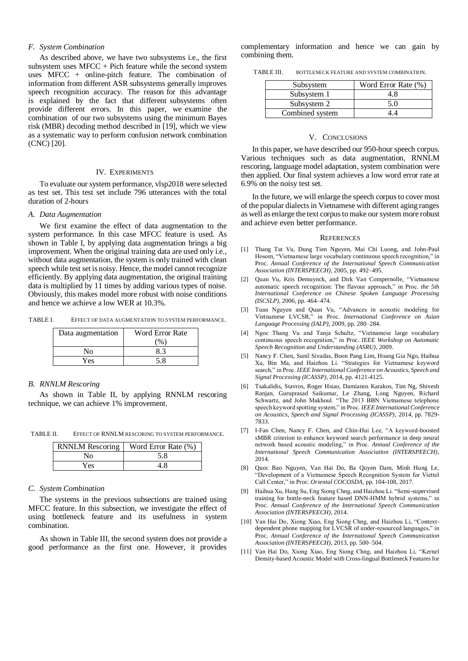# *F. System Combination*

As described above, we have two subsystems i.e., the first subsystem uses  $MFCC + Pich$  feature while the second system uses MFCC + online-pitch feature. The combination of information from different ASR subsystems generally improves speech recognition accuracy. The reason for this advantage is explained by the fact that different subsystems often provide different errors. In this paper, we examine the combination of our two subsystems using the minimum Bayes risk (MBR) decoding method described in [19], which we view as a systematic way to perform confusion network combination (CNC) [20].

### IV. EXPERIMENTS

To evaluate our system performance, vlsp2018 were selected as test set. This test set include 796 utterances with the total duration of 2-hours

#### *A. Data Augmentation*

We first examine the effect of data augmentation to the system performance. In this case MFCC feature is used. As shown in Table I, by applying data augmentation brings a big improvement. When the original training data are used only i.e., without data augmentation, the system is only trained with clean speech while test set is noisy. Hence, the model cannot recognize efficiently. By applying data augmentation, the original training data is multiplied by 11 times by adding various types of noise. Obviously, this makes model more robust with noise conditions and hence we achieve a low WER at 10.3%.

TABLE I. EFFECT OF DATA AUGMENTATION TO SYSTEM PERFORMANCE.

| Data augmentation | <b>Word Error Rate</b> |
|-------------------|------------------------|
|                   | $\%$                   |
| N٥                |                        |
| Yes               |                        |

## *B. RNNLM Rescoring*

As shown in Table II, by applying RNNLM rescoring technique, we can achieve 1% improvement.

TABLE II. EFFECT OF RNNLM RESCORING TO SYSTEM PERFORMANCE.

| <b>RNNLM</b> Rescoring | Word Error Rate (%) |
|------------------------|---------------------|
| N٥                     | 5.8                 |
| Yes                    | 4.8                 |

#### *C. System Combination*

The systems in the previous subsections are trained using MFCC feature. In this subsection, we investigate the effect of using bottleneck feature and its usefulness in system combination.

As shown in Table III, the second system does not provide a good performance as the first one. However, it provides complementary information and hence we can gain by combining them.

TABLE III. BOTTLENECK FEATURE AND SYSTEM COMBINATION.

| Subsystem       | Word Error Rate (%) |
|-----------------|---------------------|
| Subsystem 1     | 4. X                |
| Subsystem 2     | 5.0                 |
| Combined system |                     |

#### V. CONCLUSIONS

In this paper, we have described our 950-hour speech corpus. Various techniques such as data augmentation, RNNLM rescoring, language model adaptation, system combination were then applied. Our final system achieves a low word error rate at 6.9% on the noisy test set.

In the future, we will enlarge the speech corpus to cover most of the popular dialects in Vietnamese with different aging ranges as well as enlarge the text corpus to make our system more robust and achieve even better performance.

#### **REFERENCES**

- [1] Thang Tat Vu, Dung Tien Nguyen, Mai Chi Luong, and John-Paul Hosom, "Vietnamese large vocabulary continuous speech recognition," in Proc. *Annual Conference of the International Speech Communication Association (INTERSPEECH)*, 2005, pp. 492–495.
- [2] Quan Vu, Kris Demuynck, and Dirk Van Compernolle, "Vietnamese automatic speech recognition: The flavour approach," in Proc. *the 5th International Conference on Chinese Spoken Language Processing (ISCSLP),* 2006, pp. 464–474.
- [3] Tuan Nguyen and Quan Vu, "Advances in acoustic modeling for Vietnamese LVCSR," in Proc. *International Conference on Asian Language Processing (IALP)*, 2009, pp. 280–284.
- [4] Ngoc Thang Vu and Tanja Schultz, "Vietnamese large vocabulary continuous speech recognition," in Proc. *IEEE Workshop on Automatic Speech Recognition and Understanding (ASRU)*, 2009.
- [5] Nancy F. Chen, Sunil Sivadas, Boon Pang Lim, Hoang Gia Ngo, Haihua Xu, Bin Ma, and Haizhou Li. "Strategies for Vietnamese keyword search," in Proc. *IEEE International Conference on Acoustics, Speech and Signal Processing (ICASSP)*, 2014, pp. 4121-4125.
- [6] Tsakalidis, Stavros, Roger Hsiao, Damianos Karakos, Tim Ng, Shivesh Ranjan, Guruprasad Saikumar, Le Zhang, Long Nguyen, Richard Schwartz, and John Makhoul. "The 2013 BBN Vietnamese telephone speech keyword spotting system," in Proc. *IEEE International Conference on Acoustics, Speech and Signal Processing (ICASSP)*, 2014, pp. 7829- 7833.
- [7] I-Fan Chen, Nancy F. Chen, and Chin-Hui Lee, "A keyword-boosted sMBR criterion to enhance keyword search performance in deep neural network based acoustic modeling," in Proc. *Annual Conference of the International Speech Communication Association (INTERSPEECH)*, 2014.
- [8] Quoc Bao Nguyen, Van Hai Do, Ba Quyen Dam, Minh Hung Le, "Development of a Vietnamese Speech Recognition System for Viettel Call Center," in Proc. *Oriental COCOSDA*, pp. 104-108, 2017.
- [9] Haihua Xu, Hang Su, Eng Siong Chng, and Haizhou Li. "Semi-supervised training for bottle-neck feature based DNN-HMM hybrid systems," in Proc. *Annual Conference of the International Speech Communication Association (INTERSPEECH)*, 2014.
- [10] Van Hai Do, Xiong Xiao, Eng Siong Chng, and Haizhou Li, "Contextdependent phone mapping for LVCSR of under-resourced languages," in Proc. *Annual Conference of the International Speech Communication Association (INTERSPEECH)*, 2013, pp. 500–504.
- [11] Van Hai Do, Xiong Xiao, Eng Siong Chng, and Haizhou Li, "Kernel Density-based Acoustic Model with Cross-lingual Bottleneck Features for